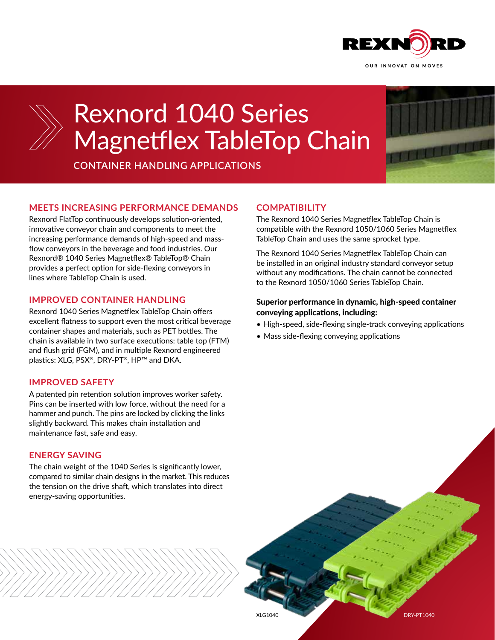



# Rexnord 1040 Series Magnetflex TableTop Chain

**CONTAINER HANDLING APPLICATIONS** 



### **MEETS INCREASING PERFORMANCE DEMANDS**

Rexnord FlatTop continuously develops solution-oriented, innovative conveyor chain and components to meet the increasing performance demands of high-speed and massflow conveyors in the beverage and food industries. Our Rexnord® 1040 Series Magnetflex® TableTop® Chain provides a perfect option for side-flexing conveyors in lines where TableTop Chain is used.

#### **IMPROVED CONTAINER HANDLING**

Rexnord 1040 Series Magnetflex TableTop Chain offers excellent flatness to support even the most critical beverage container shapes and materials, such as PET bottles. The chain is available in two surface executions: table top (FTM) and flush grid (FGM), and in multiple Rexnord engineered plastics: XLG, PSX®, DRY-PT®, HP™ and DKA.

#### **IMPROVED SAFETY**

A patented pin retention solution improves worker safety. Pins can be inserted with low force, without the need for a hammer and punch. The pins are locked by clicking the links slightly backward. This makes chain installation and maintenance fast, safe and easy.

#### **ENERGY SAVING**

The chain weight of the 1040 Series is significantly lower, compared to similar chain designs in the market. This reduces the tension on the drive shaft, which translates into direct energy-saving opportunities.

#### **COMPATIBILITY**

The Rexnord 1040 Series Magnetflex TableTop Chain is compatible with the Rexnord 1050/1060 Series Magnetflex TableTop Chain and uses the same sprocket type.

The Rexnord 1040 Series Magnetflex TableTop Chain can be installed in an original industry standard conveyor setup without any modifications. The chain cannot be connected to the Rexnord 1050/1060 Series TableTop Chain.

#### Superior performance in dynamic, high-speed container conveying applications, including:

- High-speed, side-flexing single-track conveying applications
- Mass side-flexing conveying applications